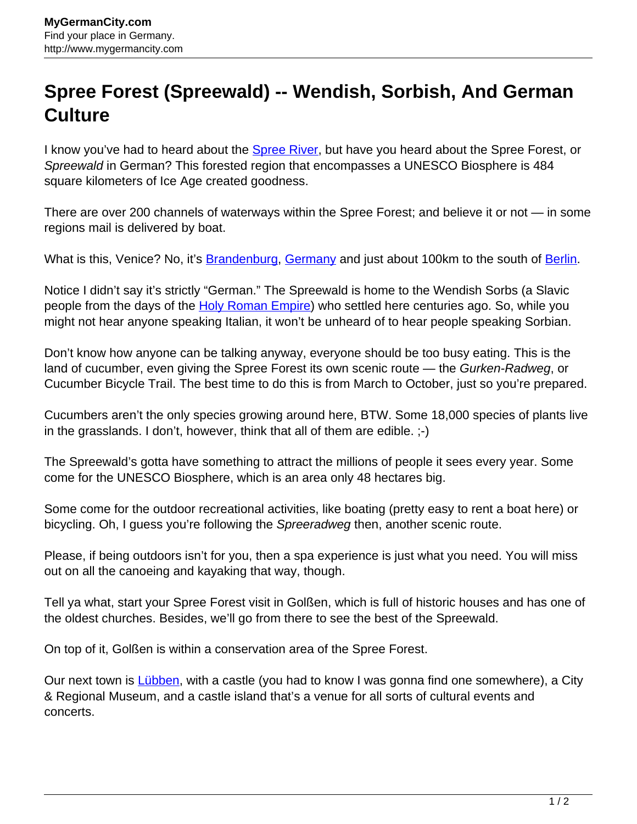## **Spree Forest (Spreewald) -- Wendish, Sorbish, And German Culture**

I know you've had to heard about the **Spree River**, but have you heard about the Spree Forest, or Spreewald in German? This forested region that encompasses a UNESCO Biosphere is 484 square kilometers of Ice Age created goodness.

There are over 200 channels of waterways within the Spree Forest; and believe it or not — in some regions mail is delivered by boat.

What is this, Venice? No, it's **[Brandenburg](http://www.mygermancity.com/brandenburg), [Germany](http://www.mygermancity.com/)** and just about 100km to the south of **Berlin**.

Notice I didn't say it's strictly "German." The Spreewald is home to the Wendish Sorbs (a Slavic people from the days of the [Holy Roman Empire\)](http://www.mygermancity.com/holy-roman-empire) who settled here centuries ago. So, while you might not hear anyone speaking Italian, it won't be unheard of to hear people speaking Sorbian.

Don't know how anyone can be talking anyway, everyone should be too busy eating. This is the land of cucumber, even giving the Spree Forest its own scenic route — the Gurken-Radweg, or Cucumber Bicycle Trail. The best time to do this is from March to October, just so you're prepared.

Cucumbers aren't the only species growing around here, BTW. Some 18,000 species of plants live in the grasslands. I don't, however, think that all of them are edible. ;-)

The Spreewald's gotta have something to attract the millions of people it sees every year. Some come for the UNESCO Biosphere, which is an area only 48 hectares big.

Some come for the outdoor recreational activities, like boating (pretty easy to rent a boat here) or bicycling. Oh, I guess you're following the Spreeradweg then, another scenic route.

Please, if being outdoors isn't for you, then a spa experience is just what you need. You will miss out on all the canoeing and kayaking that way, though.

Tell ya what, start your Spree Forest visit in Golßen, which is full of historic houses and has one of the oldest churches. Besides, we'll go from there to see the best of the Spreewald.

On top of it, Golßen is within a conservation area of the Spree Forest.

Our next town is [Lübben,](http://www.mygermancity.com/luebben) with a castle (you had to know I was gonna find one somewhere), a City & Regional Museum, and a castle island that's a venue for all sorts of cultural events and concerts.